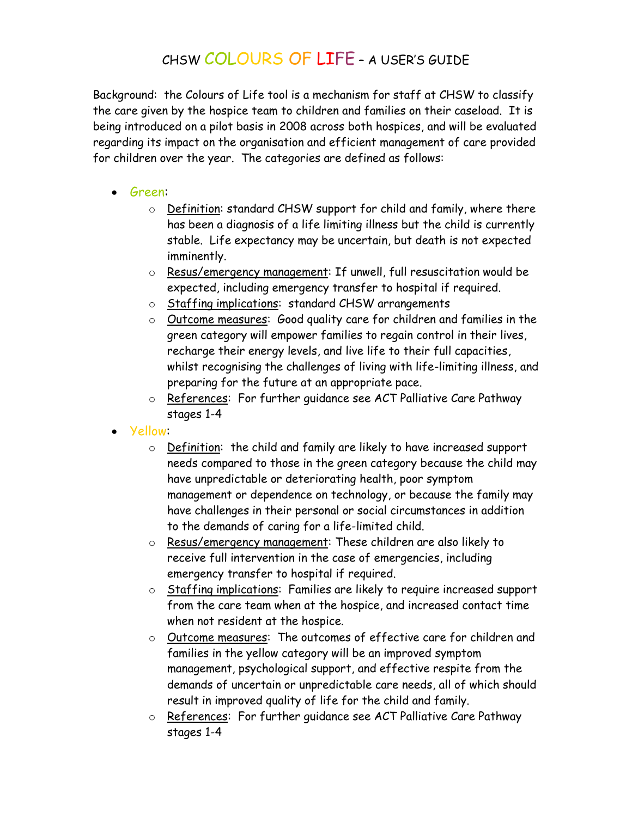## CHSW COLOURS OF LIFE – A USER'S GUIDE

Background: the Colours of Life tool is a mechanism for staff at CHSW to classify the care given by the hospice team to children and families on their caseload. It is being introduced on a pilot basis in 2008 across both hospices, and will be evaluated regarding its impact on the organisation and efficient management of care provided for children over the year. The categories are defined as follows:

- Green:
	- o Definition: standard CHSW support for child and family, where there has been a diagnosis of a life limiting illness but the child is currently stable. Life expectancy may be uncertain, but death is not expected imminently.
	- o Resus/emergency management: If unwell, full resuscitation would be expected, including emergency transfer to hospital if required.
	- o Staffing implications: standard CHSW arrangements
	- o Outcome measures: Good quality care for children and families in the green category will empower families to regain control in their lives, recharge their energy levels, and live life to their full capacities, whilst recognising the challenges of living with life-limiting illness, and preparing for the future at an appropriate pace.
	- o References: For further guidance see ACT Palliative Care Pathway stages 1-4
- Yellow:
	- o Definition: the child and family are likely to have increased support needs compared to those in the green category because the child may have unpredictable or deteriorating health, poor symptom management or dependence on technology, or because the family may have challenges in their personal or social circumstances in addition to the demands of caring for a life-limited child.
	- o Resus/emergency management: These children are also likely to receive full intervention in the case of emergencies, including emergency transfer to hospital if required.
	- o Staffing implications: Families are likely to require increased support from the care team when at the hospice, and increased contact time when not resident at the hospice.
	- o Outcome measures: The outcomes of effective care for children and families in the yellow category will be an improved symptom management, psychological support, and effective respite from the demands of uncertain or unpredictable care needs, all of which should result in improved quality of life for the child and family.
	- o References: For further guidance see ACT Palliative Care Pathway stages 1-4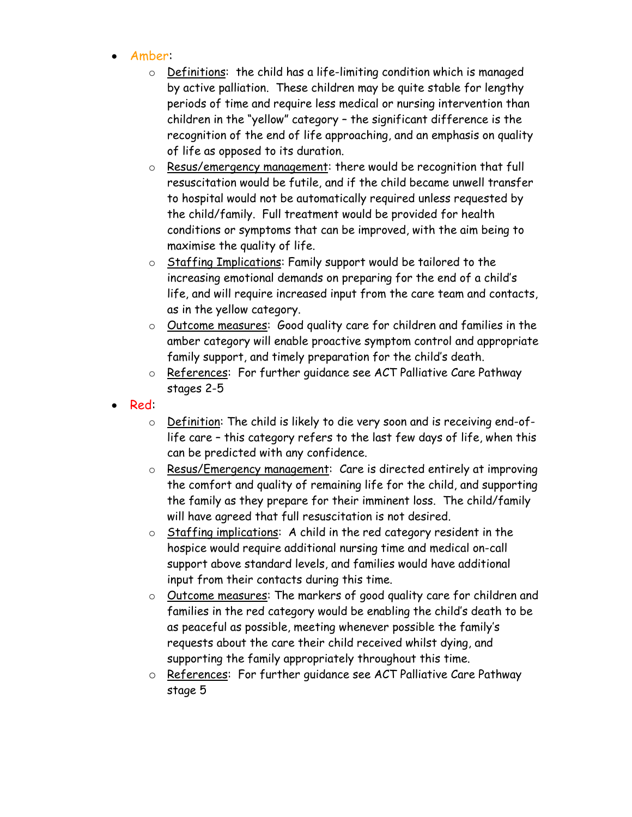- Amber:
	- o Definitions: the child has a life-limiting condition which is managed by active palliation. These children may be quite stable for lengthy periods of time and require less medical or nursing intervention than children in the "yellow" category – the significant difference is the recognition of the end of life approaching, and an emphasis on quality of life as opposed to its duration.
	- o Resus/emergency management: there would be recognition that full resuscitation would be futile, and if the child became unwell transfer to hospital would not be automatically required unless requested by the child/family. Full treatment would be provided for health conditions or symptoms that can be improved, with the aim being to maximise the quality of life.
	- o Staffing Implications: Family support would be tailored to the increasing emotional demands on preparing for the end of a child's life, and will require increased input from the care team and contacts, as in the yellow category.
	- o Outcome measures: Good quality care for children and families in the amber category will enable proactive symptom control and appropriate family support, and timely preparation for the child's death.
	- o References: For further guidance see ACT Palliative Care Pathway stages 2-5
- Red:
	- o Definition: The child is likely to die very soon and is receiving end-oflife care – this category refers to the last few days of life, when this can be predicted with any confidence.
	- o Resus/Emergency management: Care is directed entirely at improving the comfort and quality of remaining life for the child, and supporting the family as they prepare for their imminent loss. The child/family will have agreed that full resuscitation is not desired.
	- $\circ$  Staffing implications: A child in the red category resident in the hospice would require additional nursing time and medical on-call support above standard levels, and families would have additional input from their contacts during this time.
	- o Outcome measures: The markers of good quality care for children and families in the red category would be enabling the child's death to be as peaceful as possible, meeting whenever possible the family's requests about the care their child received whilst dying, and supporting the family appropriately throughout this time.
	- o References: For further guidance see ACT Palliative Care Pathway stage 5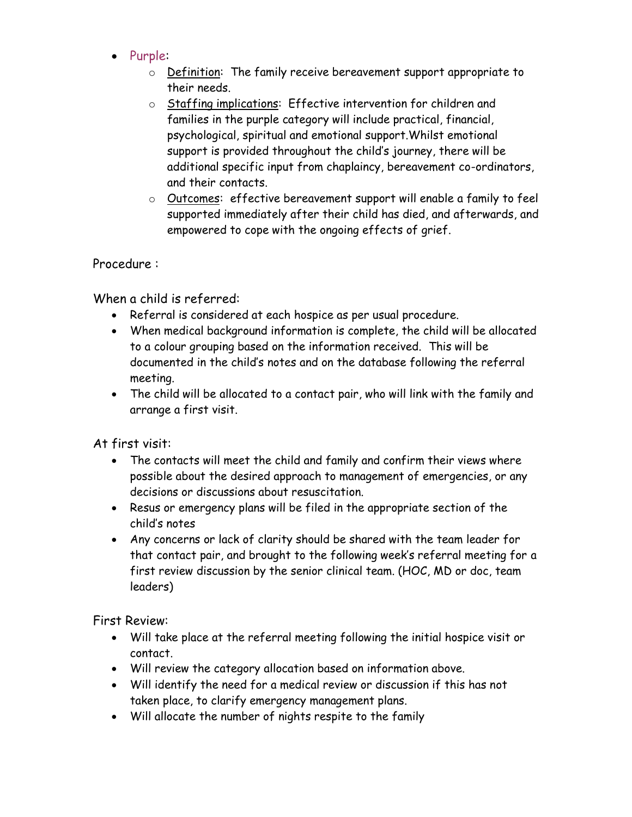- Purple:
	- o Definition: The family receive bereavement support appropriate to their needs.
	- o Staffing implications: Effective intervention for children and families in the purple category will include practical, financial, psychological, spiritual and emotional support.Whilst emotional support is provided throughout the child's journey, there will be additional specific input from chaplaincy, bereavement co-ordinators, and their contacts.
	- o Outcomes: effective bereavement support will enable a family to feel supported immediately after their child has died, and afterwards, and empowered to cope with the ongoing effects of grief.

## Procedure :

When a child is referred:

- Referral is considered at each hospice as per usual procedure.
- When medical background information is complete, the child will be allocated to a colour grouping based on the information received. This will be documented in the child's notes and on the database following the referral meeting.
- The child will be allocated to a contact pair, who will link with the family and arrange a first visit.

At first visit:

- The contacts will meet the child and family and confirm their views where possible about the desired approach to management of emergencies, or any decisions or discussions about resuscitation.
- Resus or emergency plans will be filed in the appropriate section of the child's notes
- Any concerns or lack of clarity should be shared with the team leader for that contact pair, and brought to the following week's referral meeting for a first review discussion by the senior clinical team. (HOC, MD or doc, team leaders)

First Review:

- Will take place at the referral meeting following the initial hospice visit or contact.
- Will review the category allocation based on information above.
- Will identify the need for a medical review or discussion if this has not taken place, to clarify emergency management plans.
- Will allocate the number of nights respite to the family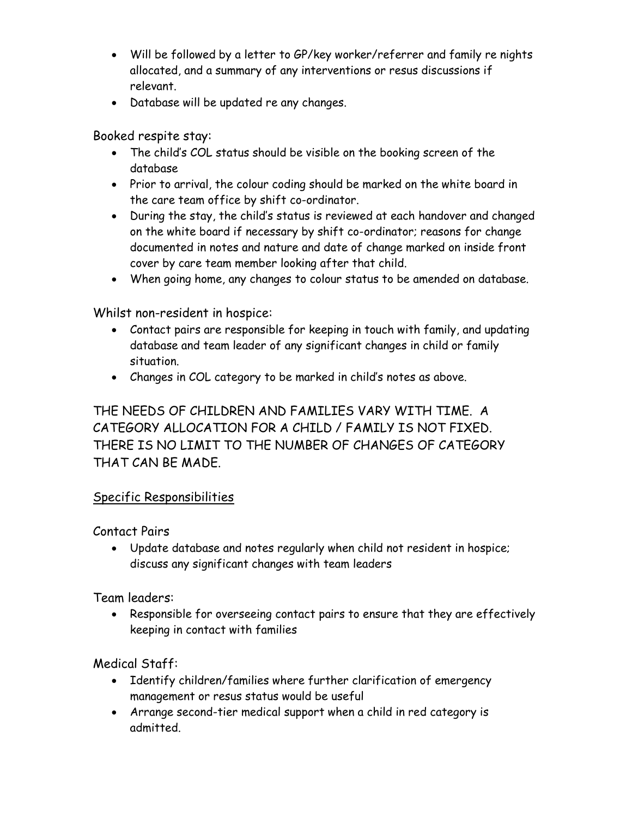- Will be followed by a letter to GP/key worker/referrer and family re nights allocated, and a summary of any interventions or resus discussions if relevant.
- Database will be updated re any changes.

Booked respite stay:

- The child's COL status should be visible on the booking screen of the database
- Prior to arrival, the colour coding should be marked on the white board in the care team office by shift co-ordinator.
- During the stay, the child's status is reviewed at each handover and changed on the white board if necessary by shift co-ordinator; reasons for change documented in notes and nature and date of change marked on inside front cover by care team member looking after that child.
- When going home, any changes to colour status to be amended on database.

Whilst non-resident in hospice:

- Contact pairs are responsible for keeping in touch with family, and updating database and team leader of any significant changes in child or family situation.
- Changes in COL category to be marked in child's notes as above.

## THE NEEDS OF CHILDREN AND FAMILIES VARY WITH TIME. A CATEGORY ALLOCATION FOR A CHILD / FAMILY IS NOT FIXED. THERE IS NO LIMIT TO THE NUMBER OF CHANGES OF CATEGORY THAT CAN BE MADE.

## Specific Responsibilities

Contact Pairs

 Update database and notes regularly when child not resident in hospice; discuss any significant changes with team leaders

Team leaders:

 Responsible for overseeing contact pairs to ensure that they are effectively keeping in contact with families

Medical Staff:

- Identify children/families where further clarification of emergency management or resus status would be useful
- Arrange second-tier medical support when a child in red category is admitted.